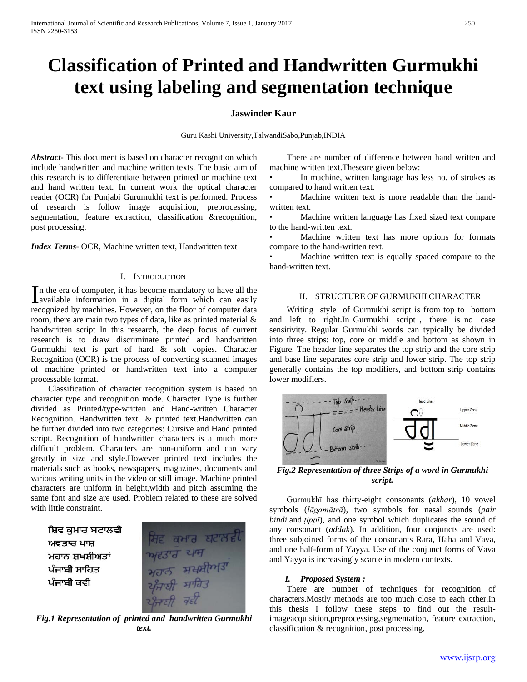# **Classification of Printed and Handwritten Gurmukhi text using labeling and segmentation technique**

# **Jaswinder Kaur**

Guru Kashi University,TalwandiSabo,Punjab,INDIA

*Abstract***-** This document is based on character recognition which include handwritten and machine written texts. The basic aim of this research is to differentiate between printed or machine text and hand written text. In current work the optical character reader (OCR) for Punjabi Gurumukhi text is performed. Process of research is follow image acquisition, preprocessing, segmentation, feature extraction, classification &recognition, post processing.

*Index Terms*- OCR, Machine written text, Handwritten text

## I. INTRODUCTION

n the era of computer, it has become mandatory to have all the In the era of computer, it has become mandatory to have all the available information in a digital form which can easily recognized by machines. However, on the floor of computer data room, there are main two types of data, like as printed material & handwritten script In this research, the deep focus of current research is to draw discriminate printed and handwritten Gurmukhi text is part of hard & soft copies. Character Recognition (OCR) is the process of converting scanned images of machine printed or handwritten text into a computer processable format.

 Classification of character recognition system is based on character type and recognition mode. Character Type is further divided as Printed/type-written and Hand-written Character Recognition. Handwritten text & printed text.Handwritten can be further divided into two categories: Cursive and Hand printed script. Recognition of handwritten characters is a much more difficult problem. Characters are non-uniform and can vary greatly in size and style.However printed text includes the materials such as books, newspapers, magazines, documents and various writing units in the video or still image. Machine printed characters are uniform in height,width and pitch assuming the same font and size are used. Problem related to these are solved with little constraint.

ਸ਼ਿਵ ਕਮਾਰ ਬਟਾਲਵੀ ਅਵਤਾਰ ਪਾਸ਼ ਮਹਾਨ ਸ਼ਖਸ਼ੀਅਤਾਂ ਪੰਜਾਬੀ ਸਾਹਿਤ ਪੰਜਾਬੀ ਕਵੀ



*Fig.1 Representation of printed and handwritten Gurmukhi text.*

 There are number of difference between hand written and machine written text.Theseare given below:

In machine, written language has less no. of strokes as compared to hand written text.

• Machine written text is more readable than the handwritten text.

Machine written language has fixed sized text compare to the hand-written text.

Machine written text has more options for formats compare to the hand-written text.

Machine written text is equally spaced compare to the hand-written text.

# II. STRUCTURE OF GURMUKHI CHARACTER

 Writing style of Gurmukhi script is from top to bottom and left to right.In Gurmukhi script , there is no case sensitivity. Regular Gurmukhi words can typically be divided into three strips: top, core or middle and bottom as shown in Figure. The header line separates the top strip and the core strip and base line separates core strip and lower strip. The top strip generally contains the top modifiers, and bottom strip contains lower modifiers.



*Fig.2 Representation of three Strips of a word in Gurmukhi script.*

 Gurmukhī has thirty-eight consonants (*akhar*), 10 vowel symbols (*lāgamātrā*), two symbols for nasal sounds (*pair bindi* and *ṭippī*), and one symbol which duplicates the sound of any consonant (*addak*). In addition, four conjuncts are used: three subjoined forms of the consonants Rara, Haha and Vava, and one half-form of Yayya. Use of the conjunct forms of Vava and Yayya is increasingly scarce in modern contexts.

# *I. Proposed System :*

 There are number of techniques for recognition of characters.Mostly methods are too much close to each other.In this thesis I follow these steps to find out the resultimageacquisition,preprocessing,segmentation, feature extraction, classification & recognition, post processing.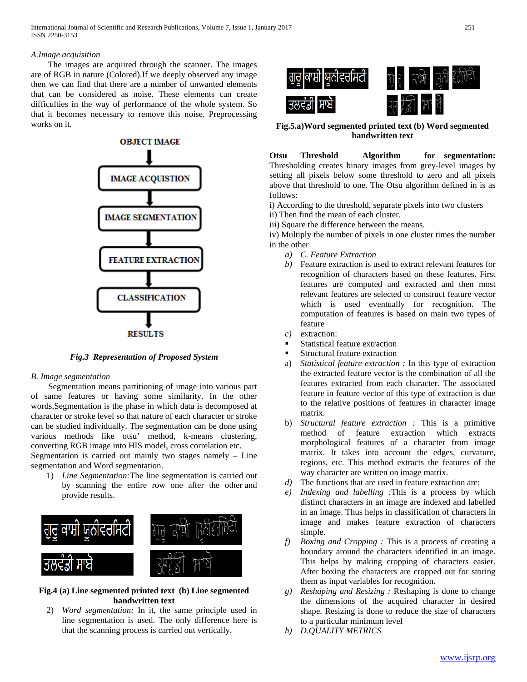# *A.Image acquisition*

 The images are acquired through the scanner. The images are of RGB in nature (Colored).If we deeply observed any image then we can find that there are a number of unwanted elements that can be considered as noise. These elements can create difficulties in the way of performance of the whole system. So that it becomes necessary to remove this noise. Preprocessing works on it.



*Fig.3 Representation of Proposed System*

# *B. Image segmentation*

 Segmentation means partitioning of image into various part of same features or having some similarity. In the other words,Segmentation is the phase in which data is decomposed at character or stroke level so that nature of each character or stroke can be studied individually. The segmentation can be done using various methods like otsu' method, k-means clustering, converting RGB image into HIS model, cross correlation etc.

Segmentation is carried out mainly two stages namely – Line segmentation and Word segmentation.

1) *Line Segmentation:*The line segmentation is carried out by scanning the entire row one after the other and provide results.



**Fig.4 (a) Line segmented printed text (b) Line segmented handwritten text**

2) *Word segmentation:* In it, the same principle used in line segmentation is used. The only difference here is that the scanning process is carried out vertically.



**Fig.5.a)Word segmented printed text (b) Word segmented handwritten text**

**Otsu Threshold Algorithm for segmentation:** Thresholding creates binary images from grey-level images by setting all pixels below some threshold to zero and all pixels above that threshold to one. The Otsu algorithm defined in is as follows:

- i) According to the threshold, separate pixels into two clusters
- ii) Then find the mean of each cluster.
- iii) Square the difference between the means.

iv) Multiply the number of pixels in one cluster times the number in the other

- *a) C. Feature Extraction*
- *b)* Feature extraction is used to extract relevant features for recognition of characters based on these features. First features are computed and extracted and then most relevant features are selected to construct feature vector which is used eventually for recognition. The computation of features is based on main two types of feature
- *c)* extraction:
- Statistical feature extraction
- Structural feature extraction
- a) *Statistical feature extraction :* In this type of extraction the extracted feature vector is the combination of all the features extracted from each character. The associated feature in feature vector of this type of extraction is due to the relative positions of features in character image matrix.
- b) *Structural feature extraction :* This is a primitive method of feature extraction which extracts morphological features of a character from image matrix. It takes into account the edges, curvature, regions, etc. This method extracts the features of the way character are written on image matrix.
- *d)* The functions that are used in feature extraction are:
- *e) Indexing and labelling :*This is a process by which distinct characters in an image are indexed and labelled in an image. Thus helps in classification of characters in image and makes feature extraction of characters simple.
- *f) Boxing and Cropping :* This is a process of creating a boundary around the characters identified in an image. This helps by making cropping of characters easier. After boxing the characters are cropped out for storing them as input variables for recognition.
- *g) Reshaping and Resizing :* Reshaping is done to change the dimensions of the acquired character in desired shape. Resizing is done to reduce the size of characters to a particular minimum level
- *h) D.QUALITY METRICS*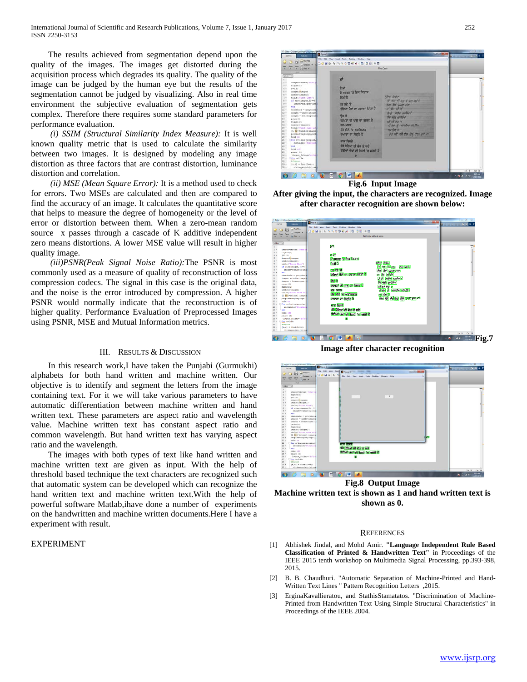The results achieved from segmentation depend upon the quality of the images. The images get distorted during the acquisition process which degrades its quality. The quality of the image can be judged by the human eye but the results of the segmentation cannot be judged by visualizing. Also in real time environment the subjective evaluation of segmentation gets complex. Therefore there requires some standard parameters for performance evaluation.

 *(i) SSIM (Structural Similarity Index Measure):* It is well known quality metric that is used to calculate the similarity between two images. It is designed by modeling any image distortion as three factors that are contrast distortion, luminance distortion and correlation.

 *(ii) MSE (Mean Square Error):* It is a method used to check for errors. Two MSEs are calculated and then are compared to find the accuracy of an image. It calculates the quantitative score that helps to measure the degree of homogeneity or the level of error or distortion between them. When a zero-mean random source x passes through a cascade of K additive independent zero means distortions. A lower MSE value will result in higher quality image.

 *(iii)PSNR(Peak Signal Noise Ratio):*The PSNR is most commonly used as a measure of quality of reconstruction of loss compression codecs. The signal in this case is the original data, and the noise is the error introduced by compression. A higher PSNR would normally indicate that the reconstruction is of higher quality. Performance Evaluation of Preprocessed Images using PSNR, MSE and Mutual Information metrics.

#### III. RESULTS & DISCUSSION

 In this research work,I have taken the Punjabi (Gurmukhi) alphabets for both hand written and machine written. Our objective is to identify and segment the letters from the image containing text. For it we will take various parameters to have automatic differentiation between machine written and hand written text. These parameters are aspect ratio and wavelength value. Machine written text has constant aspect ratio and common wavelength. But hand written text has varying aspect ratio and the wavelength.

 The images with both types of text like hand written and machine written text are given as input. With the help of threshold based technique the text characters are recognized such that automatic system can be developed which can recognize the hand written text and machine written text.With the help of powerful software Matlab,ihave done a number of experiments on the handwritten and machine written documents.Here I have a experiment with result.

## EXPERIMENT



**After giving the input, the characters are recognized. Image after character recognition are shown below:**



**Image after character recognition**



**Fig.8 Output Image Machine written text is shown as 1 and hand written text is shown as 0.**

#### **REFERENCES**

- [1] Abhishek Jindal, and Mohd Amir. **"Language Independent Rule Based Classification of Printed & Handwritten Text"** in Proceedings of the IEEE 2015 tenth workshop on Multimedia Signal Processing, pp.393-398, 2015.
- [2] B. B. Chaudhuri. "Automatic Separation of Machine-Printed and Hand-Written Text Lines " Pattern Recognition Letters ,2015.
- [3] ErginaKavallieratou, and StathisStamatatos. "Discrimination of Machine-Printed from Handwritten Text Using Simple Structural Characteristics" in Proceedings of the IEEE 2004.